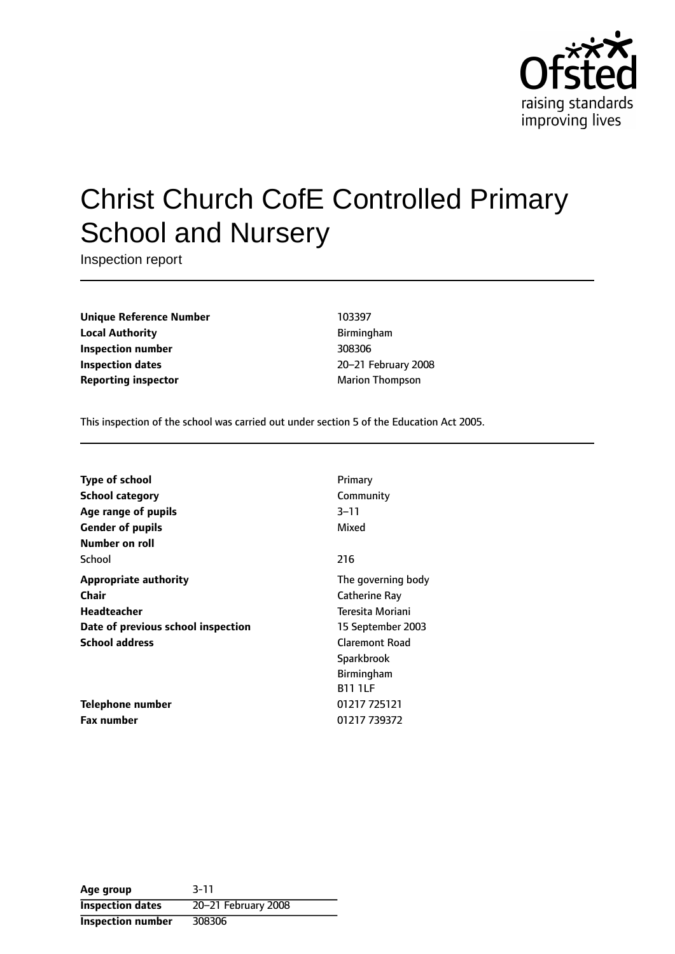

# Christ Church CofE Controlled Primary School and Nursery

Inspection report

**Unique Reference Number** 103397 **Local Authority Birmingham Inspection number** 308306 **Inspection dates** 20-21 February 2008 **Reporting inspector** Marion Thompson

This inspection of the school was carried out under section 5 of the Education Act 2005.

| Type of school                     | Primary               |
|------------------------------------|-----------------------|
| <b>School category</b>             | Community             |
| Age range of pupils                | $3 - 11$              |
| <b>Gender of pupils</b>            | Mixed                 |
| Number on roll                     |                       |
| School                             | 216                   |
| <b>Appropriate authority</b>       | The governing body    |
| Chair                              | Catherine Ray         |
| Headteacher                        | Teresita Moriani      |
| Date of previous school inspection | 15 September 2003     |
| <b>School address</b>              | <b>Claremont Road</b> |
|                                    | Sparkbrook            |
|                                    | <b>Birmingham</b>     |
|                                    | <b>B11 1LF</b>        |
| Telephone number                   | 01217 725121          |
| <b>Fax number</b>                  | 01217 739372          |
|                                    |                       |

**Age group** 3-11 **Inspection dates** 20-21 February 2008 **Inspection number** 308306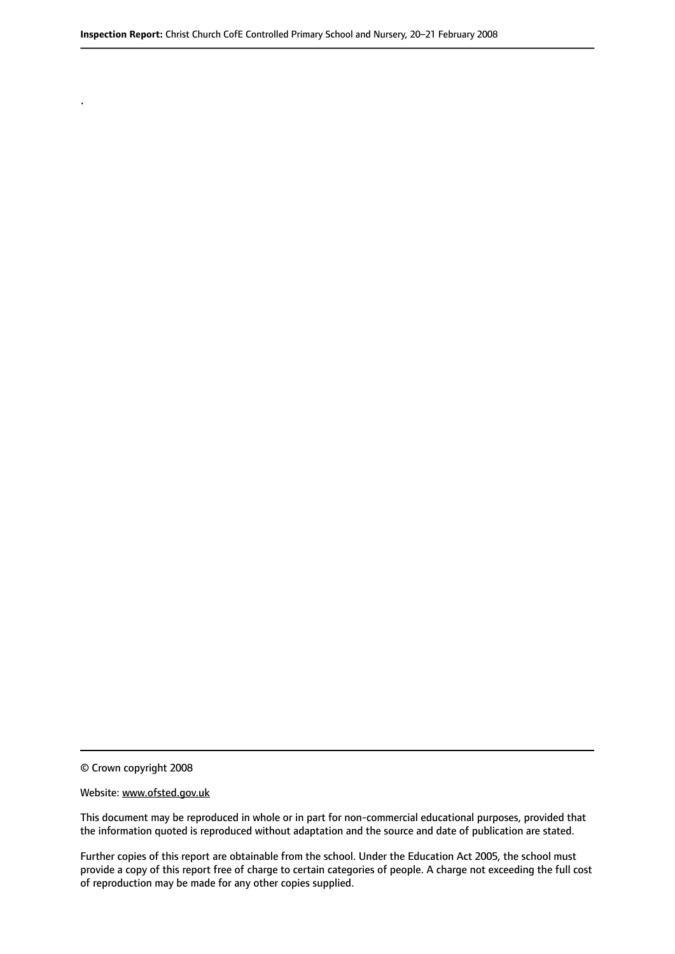© Crown copyright 2008

.

#### Website: www.ofsted.gov.uk

This document may be reproduced in whole or in part for non-commercial educational purposes, provided that the information quoted is reproduced without adaptation and the source and date of publication are stated.

Further copies of this report are obtainable from the school. Under the Education Act 2005, the school must provide a copy of this report free of charge to certain categories of people. A charge not exceeding the full cost of reproduction may be made for any other copies supplied.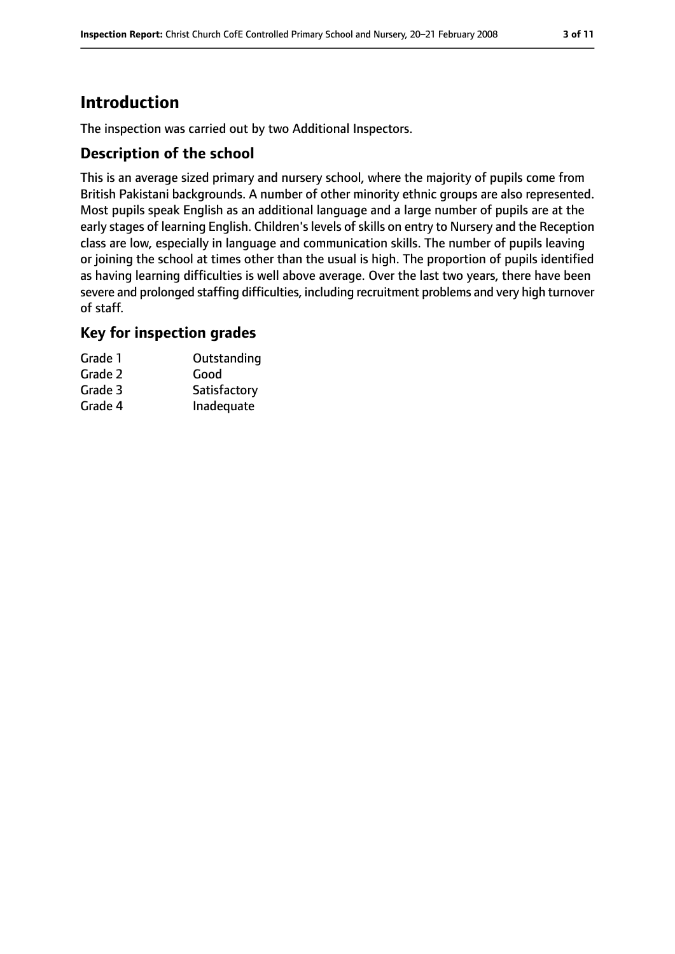# **Introduction**

The inspection was carried out by two Additional Inspectors.

### **Description of the school**

This is an average sized primary and nursery school, where the majority of pupils come from British Pakistani backgrounds. A number of other minority ethnic groups are also represented. Most pupils speak English as an additional language and a large number of pupils are at the early stages of learning English. Children's levels of skills on entry to Nursery and the Reception class are low, especially in language and communication skills. The number of pupils leaving or joining the school at times other than the usual is high. The proportion of pupils identified as having learning difficulties is well above average. Over the last two years, there have been severe and prolonged staffing difficulties, including recruitment problems and very high turnover of staff.

### **Key for inspection grades**

| Grade 1 | Outstanding  |
|---------|--------------|
| Grade 2 | Good         |
| Grade 3 | Satisfactory |
| Grade 4 | Inadequate   |
|         |              |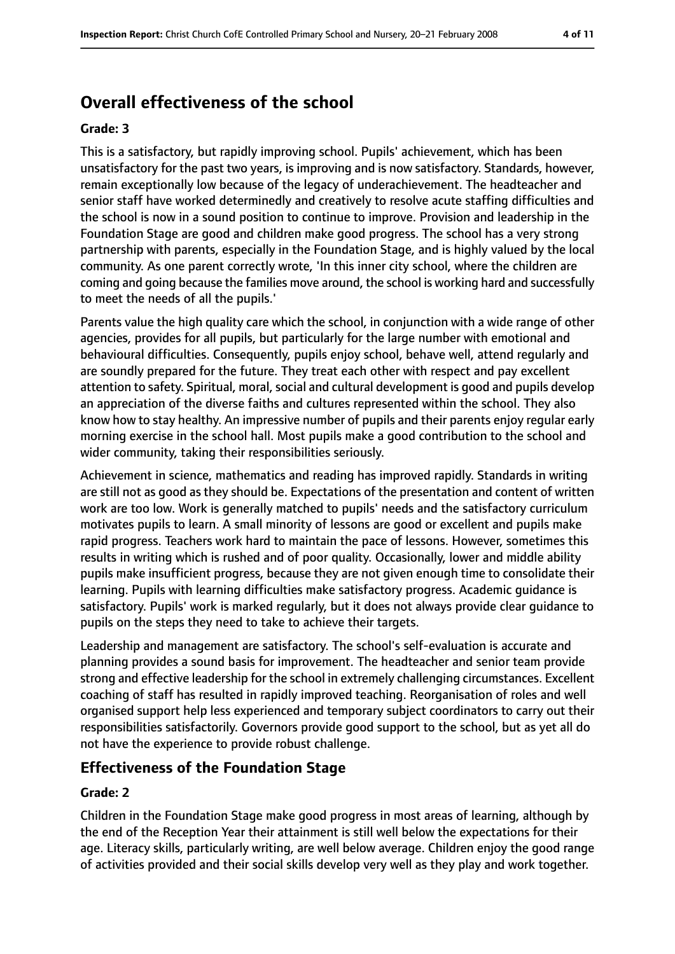# **Overall effectiveness of the school**

#### **Grade: 3**

This is a satisfactory, but rapidly improving school. Pupils' achievement, which has been unsatisfactory for the past two years, is improving and is now satisfactory. Standards, however, remain exceptionally low because of the legacy of underachievement. The headteacher and senior staff have worked determinedly and creatively to resolve acute staffing difficulties and the school is now in a sound position to continue to improve. Provision and leadership in the Foundation Stage are good and children make good progress. The school has a very strong partnership with parents, especially in the Foundation Stage, and is highly valued by the local community. As one parent correctly wrote, 'In this inner city school, where the children are coming and going because the families move around, the school is working hard and successfully to meet the needs of all the pupils.'

Parents value the high quality care which the school, in conjunction with a wide range of other agencies, provides for all pupils, but particularly for the large number with emotional and behavioural difficulties. Consequently, pupils enjoy school, behave well, attend regularly and are soundly prepared for the future. They treat each other with respect and pay excellent attention to safety. Spiritual, moral, social and cultural development is good and pupils develop an appreciation of the diverse faiths and cultures represented within the school. They also know how to stay healthy. An impressive number of pupils and their parents enjoy regular early morning exercise in the school hall. Most pupils make a good contribution to the school and wider community, taking their responsibilities seriously.

Achievement in science, mathematics and reading has improved rapidly. Standards in writing are still not as good as they should be. Expectations of the presentation and content of written work are too low. Work is generally matched to pupils' needs and the satisfactory curriculum motivates pupils to learn. A small minority of lessons are good or excellent and pupils make rapid progress. Teachers work hard to maintain the pace of lessons. However, sometimes this results in writing which is rushed and of poor quality. Occasionally, lower and middle ability pupils make insufficient progress, because they are not given enough time to consolidate their learning. Pupils with learning difficulties make satisfactory progress. Academic guidance is satisfactory. Pupils' work is marked regularly, but it does not always provide clear guidance to pupils on the steps they need to take to achieve their targets.

Leadership and management are satisfactory. The school's self-evaluation is accurate and planning provides a sound basis for improvement. The headteacher and senior team provide strong and effective leadership for the school in extremely challenging circumstances. Excellent coaching of staff has resulted in rapidly improved teaching. Reorganisation of roles and well organised support help less experienced and temporary subject coordinators to carry out their responsibilities satisfactorily. Governors provide good support to the school, but as yet all do not have the experience to provide robust challenge.

### **Effectiveness of the Foundation Stage**

#### **Grade: 2**

Children in the Foundation Stage make good progress in most areas of learning, although by the end of the Reception Year their attainment is still well below the expectations for their age. Literacy skills, particularly writing, are well below average. Children enjoy the good range of activities provided and their social skills develop very well as they play and work together.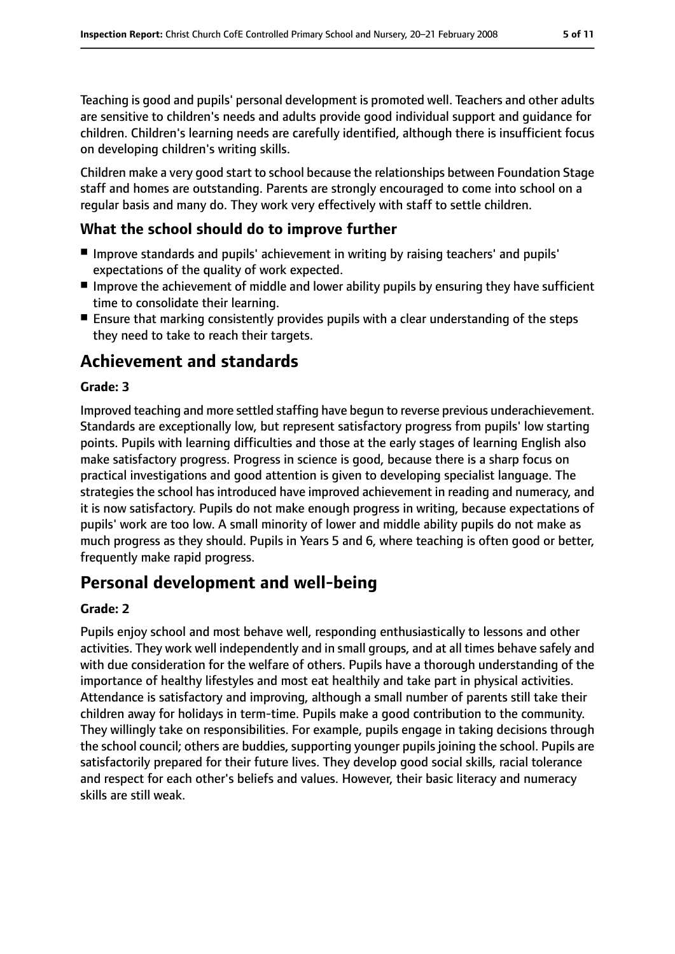Teaching is good and pupils' personal development is promoted well. Teachers and other adults are sensitive to children's needs and adults provide good individual support and guidance for children. Children's learning needs are carefully identified, although there is insufficient focus on developing children's writing skills.

Children make a very good start to school because the relationships between Foundation Stage staff and homes are outstanding. Parents are strongly encouraged to come into school on a regular basis and many do. They work very effectively with staff to settle children.

# **What the school should do to improve further**

- Improve standards and pupils' achievement in writing by raising teachers' and pupils' expectations of the quality of work expected.
- Improve the achievement of middle and lower ability pupils by ensuring they have sufficient time to consolidate their learning.
- Ensure that marking consistently provides pupils with a clear understanding of the steps they need to take to reach their targets.

# **Achievement and standards**

### **Grade: 3**

Improved teaching and more settled staffing have begun to reverse previous underachievement. Standards are exceptionally low, but represent satisfactory progress from pupils' low starting points. Pupils with learning difficulties and those at the early stages of learning English also make satisfactory progress. Progress in science is good, because there is a sharp focus on practical investigations and good attention is given to developing specialist language. The strategies the school has introduced have improved achievement in reading and numeracy, and it is now satisfactory. Pupils do not make enough progress in writing, because expectations of pupils' work are too low. A small minority of lower and middle ability pupils do not make as much progress as they should. Pupils in Years 5 and 6, where teaching is often good or better, frequently make rapid progress.

# **Personal development and well-being**

### **Grade: 2**

Pupils enjoy school and most behave well, responding enthusiastically to lessons and other activities. They work well independently and in small groups, and at all times behave safely and with due consideration for the welfare of others. Pupils have a thorough understanding of the importance of healthy lifestyles and most eat healthily and take part in physical activities. Attendance is satisfactory and improving, although a small number of parents still take their children away for holidays in term-time. Pupils make a good contribution to the community. They willingly take on responsibilities. For example, pupils engage in taking decisions through the school council; others are buddies, supporting younger pupils joining the school. Pupils are satisfactorily prepared for their future lives. They develop good social skills, racial tolerance and respect for each other's beliefs and values. However, their basic literacy and numeracy skills are still weak.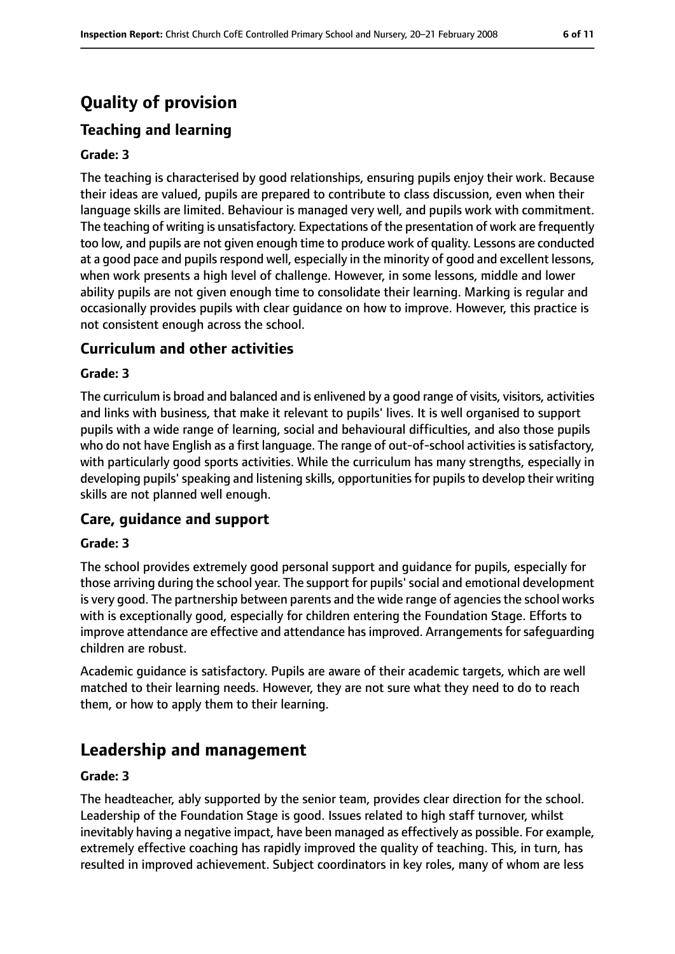# **Quality of provision**

# **Teaching and learning**

#### **Grade: 3**

The teaching is characterised by good relationships, ensuring pupils enjoy their work. Because their ideas are valued, pupils are prepared to contribute to class discussion, even when their language skills are limited. Behaviour is managed very well, and pupils work with commitment. The teaching of writing is unsatisfactory. Expectations of the presentation of work are frequently too low, and pupils are not given enough time to produce work of quality. Lessons are conducted at a good pace and pupils respond well, especially in the minority of good and excellent lessons, when work presents a high level of challenge. However, in some lessons, middle and lower ability pupils are not given enough time to consolidate their learning. Marking is regular and occasionally provides pupils with clear guidance on how to improve. However, this practice is not consistent enough across the school.

### **Curriculum and other activities**

#### **Grade: 3**

The curriculum is broad and balanced and is enlivened by a good range of visits, visitors, activities and links with business, that make it relevant to pupils' lives. It is well organised to support pupils with a wide range of learning, social and behavioural difficulties, and also those pupils who do not have English as a first language. The range of out-of-school activities is satisfactory, with particularly good sports activities. While the curriculum has many strengths, especially in developing pupils' speaking and listening skills, opportunities for pupils to develop their writing skills are not planned well enough.

#### **Care, guidance and support**

#### **Grade: 3**

The school provides extremely good personal support and guidance for pupils, especially for those arriving during the school year. The support for pupils'social and emotional development is very good. The partnership between parents and the wide range of agencies the school works with is exceptionally good, especially for children entering the Foundation Stage. Efforts to improve attendance are effective and attendance has improved. Arrangements for safeguarding children are robust.

Academic guidance is satisfactory. Pupils are aware of their academic targets, which are well matched to their learning needs. However, they are not sure what they need to do to reach them, or how to apply them to their learning.

# **Leadership and management**

#### **Grade: 3**

The headteacher, ably supported by the senior team, provides clear direction for the school. Leadership of the Foundation Stage is good. Issues related to high staff turnover, whilst inevitably having a negative impact, have been managed as effectively as possible. For example, extremely effective coaching has rapidly improved the quality of teaching. This, in turn, has resulted in improved achievement. Subject coordinators in key roles, many of whom are less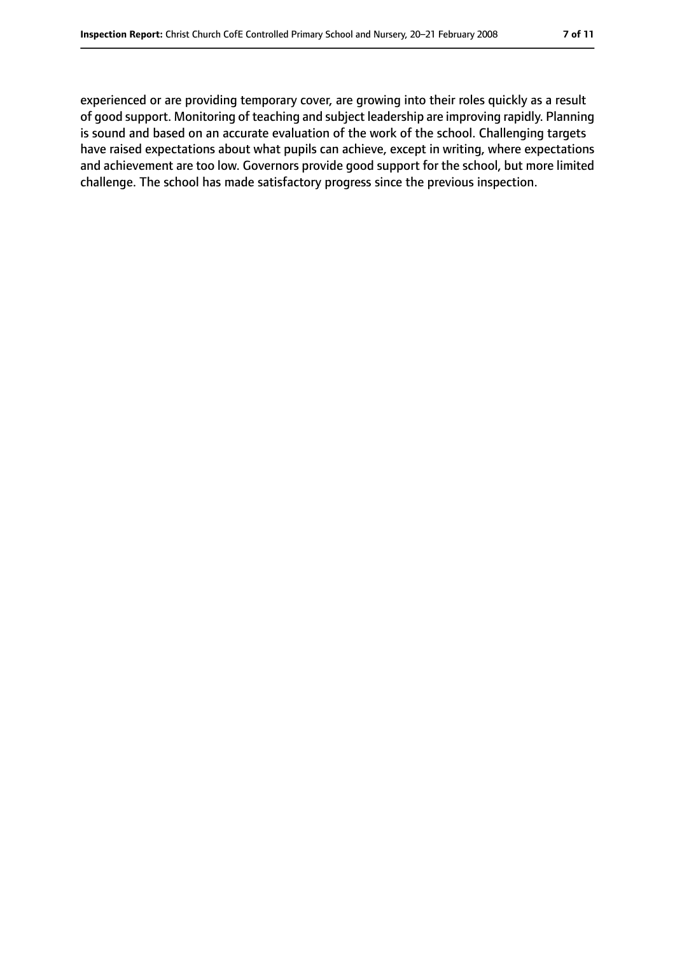experienced or are providing temporary cover, are growing into their roles quickly as a result of good support. Monitoring of teaching and subject leadership are improving rapidly. Planning is sound and based on an accurate evaluation of the work of the school. Challenging targets have raised expectations about what pupils can achieve, except in writing, where expectations and achievement are too low. Governors provide good support for the school, but more limited challenge. The school has made satisfactory progress since the previous inspection.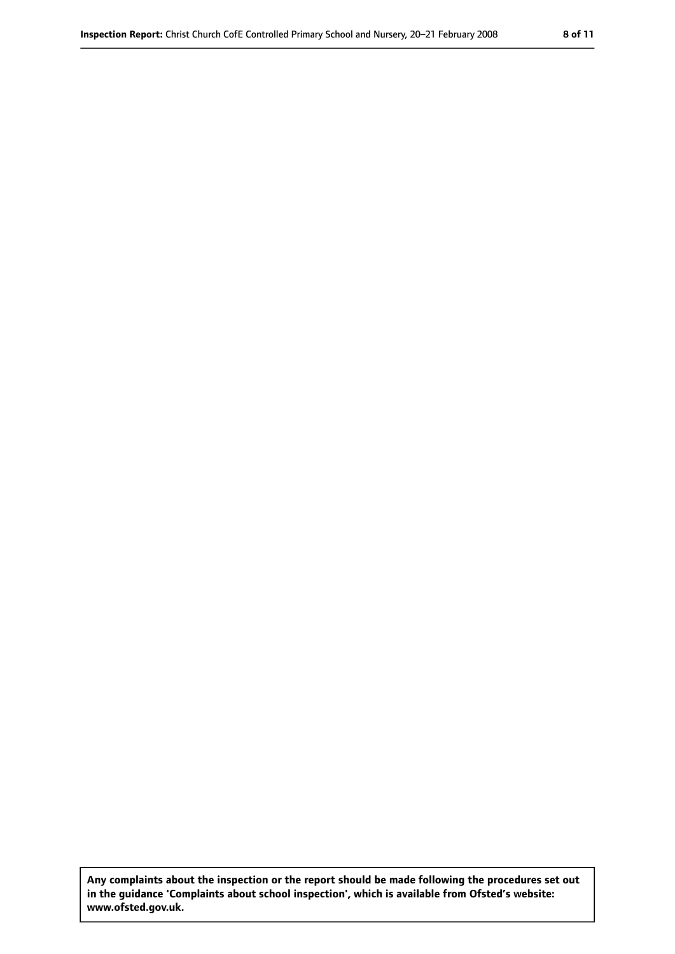**Any complaints about the inspection or the report should be made following the procedures set out in the guidance 'Complaints about school inspection', which is available from Ofsted's website: www.ofsted.gov.uk.**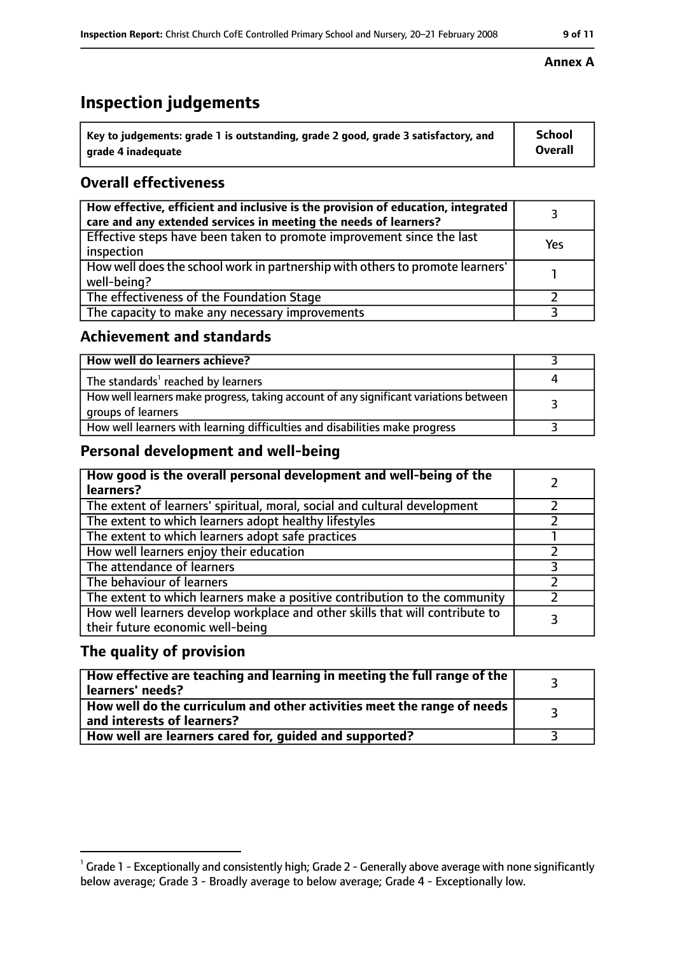# **Inspection judgements**

| $^{\rm t}$ Key to judgements: grade 1 is outstanding, grade 2 good, grade 3 satisfactory, and | School         |
|-----------------------------------------------------------------------------------------------|----------------|
| arade 4 inadeguate                                                                            | <b>Overall</b> |

# **Overall effectiveness**

| How effective, efficient and inclusive is the provision of education, integrated<br>care and any extended services in meeting the needs of learners? |     |
|------------------------------------------------------------------------------------------------------------------------------------------------------|-----|
| Effective steps have been taken to promote improvement since the last<br>inspection                                                                  | Yes |
| How well does the school work in partnership with others to promote learners'<br>well-being?                                                         |     |
| The effectiveness of the Foundation Stage                                                                                                            |     |
| The capacity to make any necessary improvements                                                                                                      |     |

### **Achievement and standards**

| How well do learners achieve?                                                                               |  |
|-------------------------------------------------------------------------------------------------------------|--|
| The standards <sup>1</sup> reached by learners                                                              |  |
| How well learners make progress, taking account of any significant variations between<br>groups of learners |  |
| How well learners with learning difficulties and disabilities make progress                                 |  |

# **Personal development and well-being**

| How good is the overall personal development and well-being of the<br>learners?                                  |  |
|------------------------------------------------------------------------------------------------------------------|--|
| The extent of learners' spiritual, moral, social and cultural development                                        |  |
| The extent to which learners adopt healthy lifestyles                                                            |  |
| The extent to which learners adopt safe practices                                                                |  |
| How well learners enjoy their education                                                                          |  |
| The attendance of learners                                                                                       |  |
| The behaviour of learners                                                                                        |  |
| The extent to which learners make a positive contribution to the community                                       |  |
| How well learners develop workplace and other skills that will contribute to<br>their future economic well-being |  |

### **The quality of provision**

| How effective are teaching and learning in meeting the full range of the<br>learners' needs?          |  |
|-------------------------------------------------------------------------------------------------------|--|
| How well do the curriculum and other activities meet the range of needs<br>and interests of learners? |  |
| How well are learners cared for, guided and supported?                                                |  |

#### **Annex A**

 $^1$  Grade 1 - Exceptionally and consistently high; Grade 2 - Generally above average with none significantly below average; Grade 3 - Broadly average to below average; Grade 4 - Exceptionally low.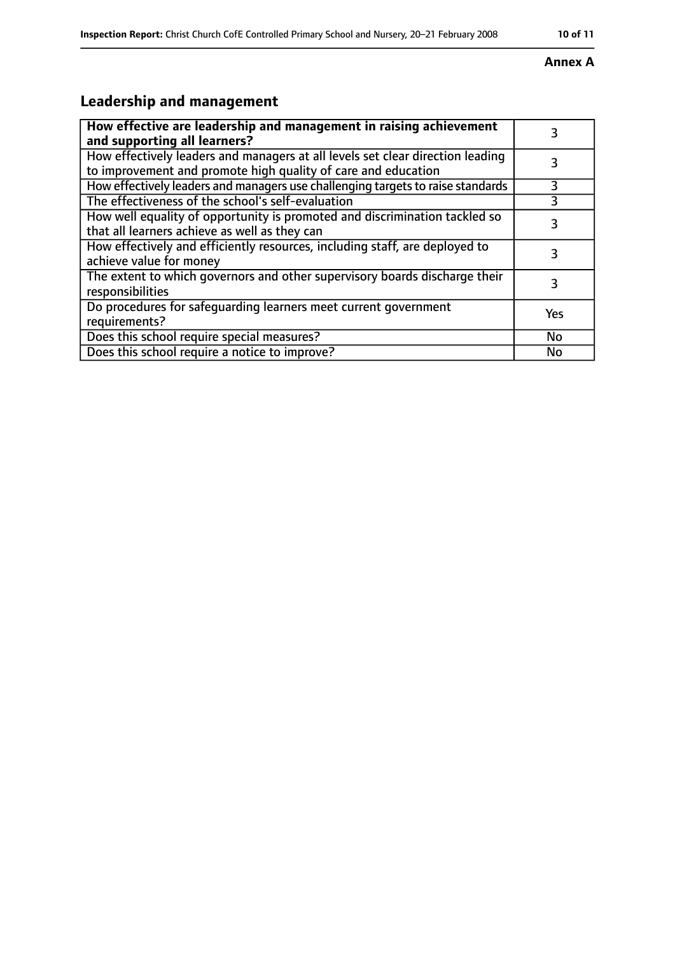### **Annex A**

# **Leadership and management**

| How effective are leadership and management in raising achievement<br>and supporting all learners?                                              |     |
|-------------------------------------------------------------------------------------------------------------------------------------------------|-----|
| How effectively leaders and managers at all levels set clear direction leading<br>to improvement and promote high quality of care and education |     |
| How effectively leaders and managers use challenging targets to raise standards                                                                 | 3   |
| The effectiveness of the school's self-evaluation                                                                                               | 3   |
| How well equality of opportunity is promoted and discrimination tackled so<br>that all learners achieve as well as they can                     |     |
| How effectively and efficiently resources, including staff, are deployed to<br>achieve value for money                                          |     |
| The extent to which governors and other supervisory boards discharge their<br>responsibilities                                                  |     |
| Do procedures for safequarding learners meet current government<br>requirements?                                                                | Yes |
| Does this school require special measures?                                                                                                      | No  |
| Does this school require a notice to improve?                                                                                                   | No  |